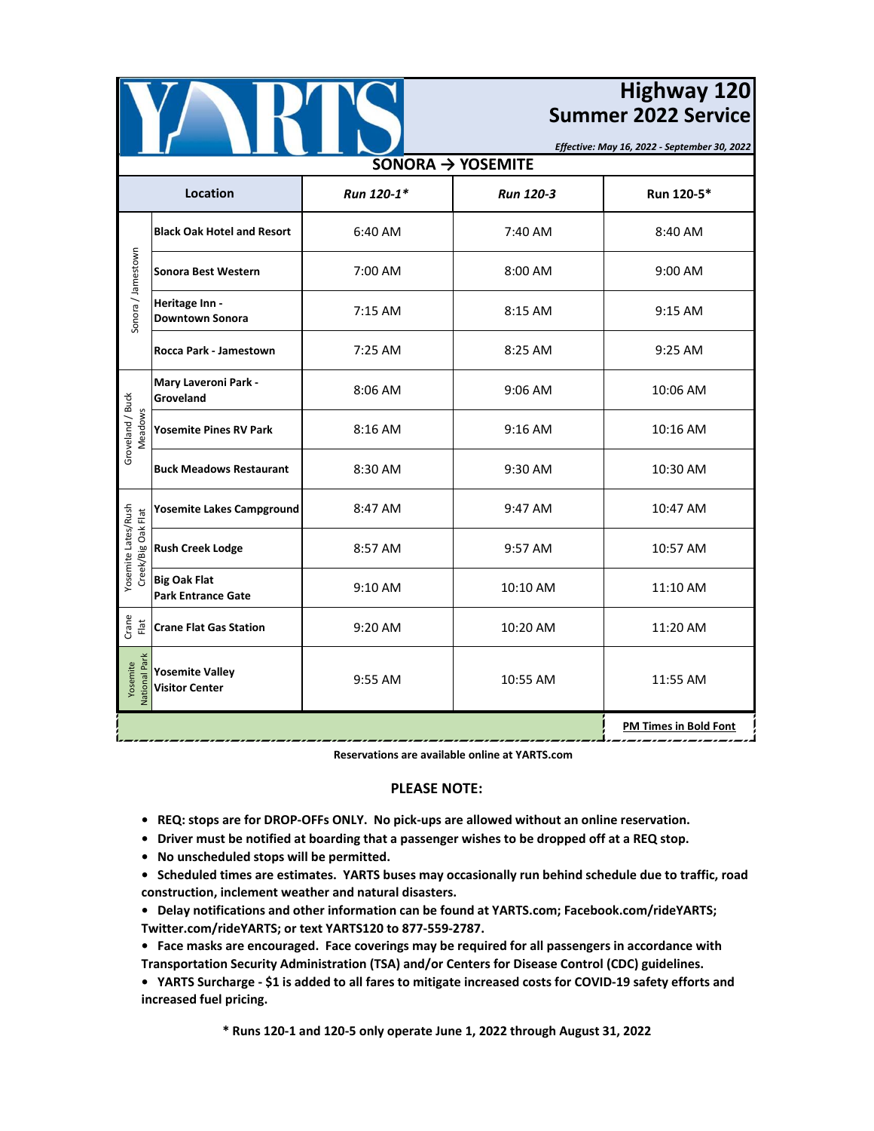

## **Highway 120 Summer 2022 Service**

*Effective: May 16, 2022 - September 30, 2022*

| SONORA $\rightarrow$ YOSEMITE             |                                                  |                              |                  |            |  |  |
|-------------------------------------------|--------------------------------------------------|------------------------------|------------------|------------|--|--|
| <b>Location</b>                           |                                                  | Run 120-1*                   | <b>Run 120-3</b> | Run 120-5* |  |  |
| Sonora / Jamestown                        | <b>Black Oak Hotel and Resort</b>                | 6:40 AM                      | 7:40 AM          | 8:40 AM    |  |  |
|                                           | Sonora Best Western                              | 7:00 AM                      | 8:00 AM          | 9:00 AM    |  |  |
|                                           | Heritage Inn -<br><b>Downtown Sonora</b>         | 7:15 AM                      | 8:15 AM          | 9:15 AM    |  |  |
|                                           | Rocca Park - Jamestown                           | 7:25 AM                      | 8:25 AM          | 9:25 AM    |  |  |
| Groveland / Buck<br>Meadows               | Mary Laveroni Park -<br>Groveland                | 8:06 AM                      | 9:06 AM          | 10:06 AM   |  |  |
|                                           | <b>Yosemite Pines RV Park</b>                    | 8:16 AM                      | 9:16 AM          | 10:16 AM   |  |  |
|                                           | <b>Buck Meadows Restaurant</b>                   | 8:30 AM                      | 9:30 AM          | 10:30 AM   |  |  |
| Yosemite Lates/Rush<br>Creek/Big Oak Flat | <b>Yosemite Lakes Campground</b>                 | 8:47 AM                      | 9:47 AM          | 10:47 AM   |  |  |
|                                           | <b>Rush Creek Lodge</b>                          | 8:57 AM                      | 9:57 AM          | 10:57 AM   |  |  |
|                                           | <b>Big Oak Flat</b><br><b>Park Entrance Gate</b> | 9:10 AM                      | 10:10 AM         | 11:10 AM   |  |  |
| Crane<br>Flat                             | <b>Crane Flat Gas Station</b>                    | 9:20 AM                      | 10:20 AM         | 11:20 AM   |  |  |
| <b>Vational Park</b><br>Yosemite          | <b>Yosemite Valley</b><br><b>Visitor Center</b>  | 9:55 AM                      | 10:55 AM         | 11:55 AM   |  |  |
|                                           |                                                  | <b>PM Times in Bold Font</b> |                  |            |  |  |

**Reservations are available online at YARTS.com**

## **PLEASE NOTE:**

- **REQ: stops are for DROP-OFFs ONLY. No pick-ups are allowed without an online reservation.**
- **Driver must be notified at boarding that a passenger wishes to be dropped off at a REQ stop.**
- **No unscheduled stops will be permitted.**
- **Scheduled times are estimates. YARTS buses may occasionally run behind schedule due to traffic, road construction, inclement weather and natural disasters.**
- **Delay notifications and other information can be found at YARTS.com; Facebook.com/rideYARTS; Twitter.com/rideYARTS; or text YARTS120 to 877-559-2787.**

**• Face masks are encouraged. Face coverings may be required for all passengers in accordance with Transportation Security Administration (TSA) and/or Centers for Disease Control (CDC) guidelines.**

**• YARTS Surcharge - \$1 is added to all fares to mitigate increased costs for COVID-19 safety efforts and increased fuel pricing.**

**\* Runs 120-1 and 120-5 only operate June 1, 2022 through August 31, 2022**